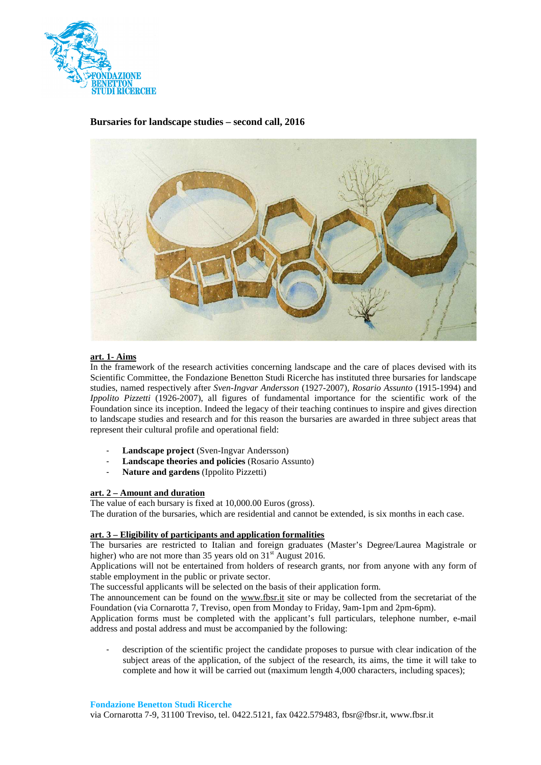

# **Bursaries for landscape studies – second call, 2016**



### **art. 1- Aims**

In the framework of the research activities concerning landscape and the care of places devised with its Scientific Committee, the Fondazione Benetton Studi Ricerche has instituted three bursaries for landscape studies, named respectively after *Sven-Ingvar Andersson* (1927-2007), *Rosario Assunto* (1915-1994) and *Ippolito Pizzetti* (1926-2007), all figures of fundamental importance for the scientific work of the Foundation since its inception. Indeed the legacy of their teaching continues to inspire and gives direction to landscape studies and research and for this reason the bursaries are awarded in three subject areas that represent their cultural profile and operational field:

- **Landscape project** (Sven-Ingvar Andersson)
- **Landscape theories and policies** (Rosario Assunto)
- Nature and gardens (Ippolito Pizzetti)

### **art. 2 – Amount and duration**

The value of each bursary is fixed at 10,000.00 Euros (gross).

The duration of the bursaries, which are residential and cannot be extended, is six months in each case.

### **art. 3 – Eligibility of participants and application formalities**

The bursaries are restricted to Italian and foreign graduates (Master's Degree/Laurea Magistrale or higher) who are not more than 35 years old on  $31<sup>st</sup>$  August 2016.

Applications will not be entertained from holders of research grants, nor from anyone with any form of stable employment in the public or private sector.

The successful applicants will be selected on the basis of their application form.

The announcement can be found on the www.fbsr.it site or may be collected from the secretariat of the Foundation (via Cornarotta 7, Treviso, open from Monday to Friday, 9am-1pm and 2pm-6pm).

Application forms must be completed with the applicant's full particulars, telephone number, e-mail address and postal address and must be accompanied by the following:

- description of the scientific project the candidate proposes to pursue with clear indication of the subject areas of the application, of the subject of the research, its aims, the time it will take to complete and how it will be carried out (maximum length 4,000 characters, including spaces);

**Fondazione Benetton Studi Ricerche**

via Cornarotta 7-9, 31100 Treviso, tel. 0422.5121, fax 0422.579483, fbsr@fbsr.it, www.fbsr.it